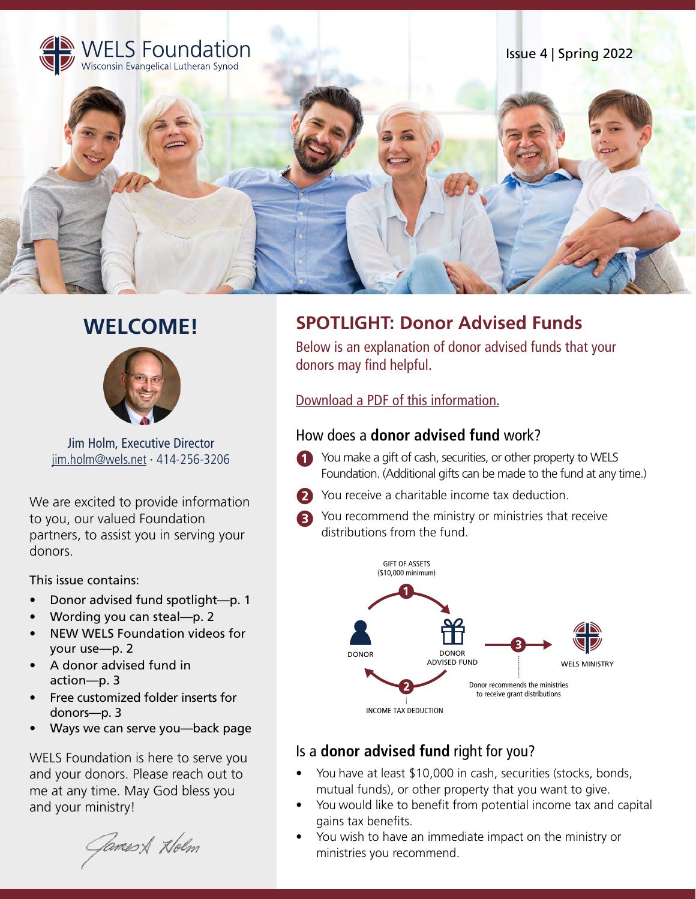

# **WELCOME!**



Jim Holm, Executive Director jim.holm@wels.net ∙ 414-256-3206

We are excited to provide information to you, our valued Foundation partners, to assist you in serving your donors.

This issue contains:

- Donor advised fund spotlight—p. 1
- Wording you can steal—p. 2
- NEW WELS Foundation videos for your use—p. 2
- A donor advised fund in action—p. 3
- Free customized folder inserts for donors—p. 3
- Ways we can serve you—back page

WELS Foundation is here to serve you and your donors. Please reach out to me at any time. May God bless you and your ministry!

Games & Holm

## **SPOTLIGHT: Donor Advised Funds**

Below is an explanation of donor advised funds that your donors may find helpful.

#### [Download a PDF of this information.](https://foundation.welsrc.net/download-foundation/wels-foundation-newsletter/?wpdmdl=3743&refresh=6256f9874d9ea1649867143&ind=1649863897382&filename=Donor-Advised-Fund-explanation-Spring-2022.pdf)

#### How does a **donor advised fund** work?

- **T** You make a gift of cash, securities, or other property to WELS Foundation. (Additional gifts can be made to the fund at any time.)
- **2** You receive a charitable income tax deduction.
- You recommend the ministry or ministries that receive distributions from the fund.



### Is a **donor advised fund** right for you?

- You have at least \$10,000 in cash, securities (stocks, bonds, mutual funds), or other property that you want to give.
- You would like to benefit from potential income tax and capital gains tax benefits.
- You wish to have an immediate impact on the ministry or ministries you recommend.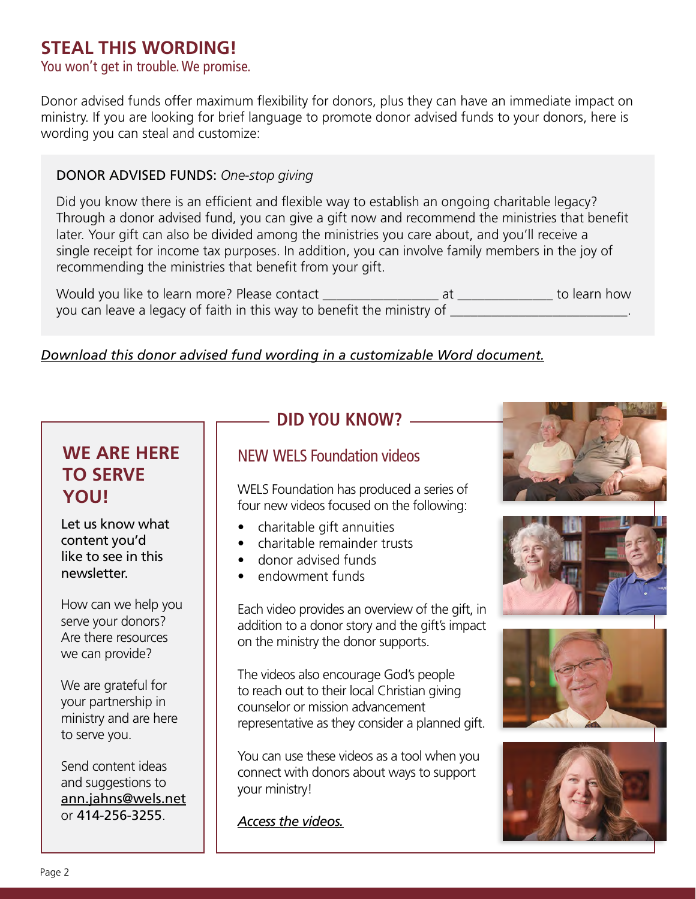## **STEAL THIS WORDING!**

### You won't get in trouble. We promise.

Donor advised funds offer maximum flexibility for donors, plus they can have an immediate impact on ministry. If you are looking for brief language to promote donor advised funds to your donors, here is wording you can steal and customize:

#### DONOR ADVISED FUNDS: *One-stop giving*

Did you know there is an efficient and flexible way to establish an ongoing charitable legacy? Through a donor advised fund, you can give a gift now and recommend the ministries that benefit later. Your gift can also be divided among the ministries you care about, and you'll receive a single receipt for income tax purposes. In addition, you can involve family members in the joy of recommending the ministries that benefit from your gift.

Would you like to learn more? Please contact \_\_\_\_\_\_\_\_\_\_\_\_\_\_\_\_\_ at \_\_\_\_\_\_\_\_\_\_\_\_\_\_ to learn how you can leave a legacy of faith in this way to benefit the ministry of \_\_\_\_\_\_\_\_\_

#### *[Download this donor advised fund wording in a customizable Word document.](https://foundation.welsrc.net/download-foundation/wels-foundation-newsletter/)*

## **WE ARE HERE TO SERVE YOU!**

Let us know what content you'd like to see in this newsletter.

How can we help you serve your donors? Are there resources we can provide?

We are grateful for your partnership in ministry and are here to serve you.

Send content ideas and suggestions to ann.jahns@wels.net or 414-256-3255.

## **DID YOU KNOW?**

### NEW WELS Foundation videos

WELS Foundation has produced a series of four new videos focused on the following:

- charitable gift annuities
- charitable remainder trusts
- donor advised funds
- endowment funds

Each video provides an overview of the gift, in addition to a donor story and the gift's impact on the ministry the donor supports.

The videos also encourage God's people to reach out to their local Christian giving counselor or mission advancement representative as they consider a planned gift.

You can use these videos as a tool when you connect with donors about ways to support your ministry!

*[Access the videos.](https://vimeo.com/showcase/9415316)*







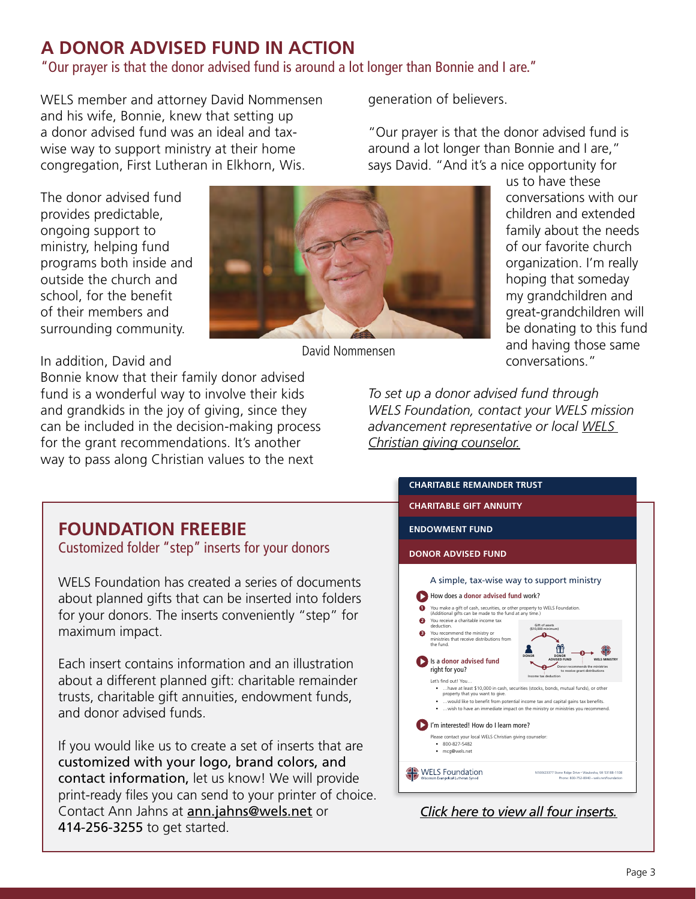## **A DONOR ADVISED FUND IN ACTION**

"Our prayer is that the donor advised fund is around a lot longer than Bonnie and I are."

David Nommensen

WELS member and attorney David Nommensen and his wife, Bonnie, knew that setting up a donor advised fund was an ideal and taxwise way to support ministry at their home congregation, First Lutheran in Elkhorn, Wis.

The donor advised fund provides predictable, ongoing support to ministry, helping fund programs both inside and outside the church and school, for the benefit of their members and surrounding community.

In addition, David and

Bonnie know that their family donor advised fund is a wonderful way to involve their kids and grandkids in the joy of giving, since they can be included in the decision-making process for the grant recommendations. It's another way to pass along Christian values to the next

generation of believers.

"Our prayer is that the donor advised fund is around a lot longer than Bonnie and I are," says David. "And it's a nice opportunity for



*To set up a donor advised fund through WELS Foundation, contact your WELS mission [advancement representative or local WELS](https://wels.net/giving/ministry-of-christian-giving/christiangivingcounselordirectory/)  Christian giving counselor.*



### **FOUNDATION FREEBIE**

Customized folder "step" inserts for your donors

WELS Foundation has created a series of documents about planned gifts that can be inserted into folders for your donors. The inserts conveniently "step" for maximum impact.

Each insert contains information and an illustration about a different planned gift: charitable remainder trusts, charitable gift annuities, endowment funds, and donor advised funds.

If you would like us to create a set of inserts that are customized with your logo, brand colors, and contact information, let us know! We will provide print-ready files you can send to your printer of choice. Contact Ann Jahns at **ann.jahns@wels.net** or 414-256-3255 to get started.